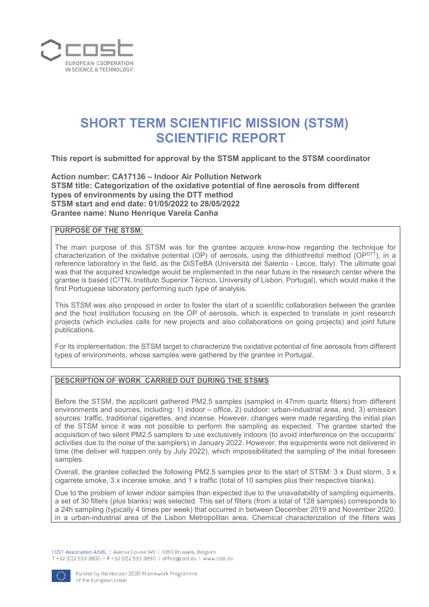

# **SHORT TERM SCIENTIFIC MISSION (STSM) SCIENTIFIC REPORT**

**This report is submitted for approval by the STSM applicant to the STSM coordinator** 

**Action number: CA17136 – Indoor Air Pollution Network STSM title: Categorization of the oxidative potential of fine aerosols from different types of environments by using the DTT method STSM start and end date: 01/05/2022 to 28/05/2022 Grantee name: Nuno Henrique Varela Canha**

## **PURPOSE OF THE STSM:**

The main purpose of this STSM was for the grantee acquire know-how regarding the technique for characterization of the oxidative potential (OP) of aerosols, using the dithiothreitol method ( $OP^{DTT}$ ), in a reference laboratory in the field, as the DiSTeBA (Università del Salento - Lecce, Italy). The ultimate goal was that the acquired knowledge would be implemented in the near future in the research center where the grantee is based (C<sup>2</sup>TN, Instituto Superior Técnico, University of Lisbon, Portugal), which would make it the first Portuguese laboratory performing such type of analysis.

This STSM was also proposed in order to foster the start of a scientific collaboration between the grantee and the host institution focusing on the OP of aerosols, which is expected to translate in joint research projects (which includes calls for new projects and also collaborations on going projects) and joint future publications.

For its implementation, the STSM target to characterize the oxidative potential of fine aerosols from different types of environments, whose samples were gathered by the grantee in Portugal.

### **DESCRIPTION OF WORK CARRIED OUT DURING THE STSMS**

Before the STSM, the applicant gathered PM2.5 samples (sampled in 47mm quartz filters) from different environments and sources, including: 1) indoor – office, 2) outdoor: urban-industrial area, and, 3) emission sources: traffic, traditional cigarettes, and incense. However, changes were made regarding the initial plan of the STSM since it was not possible to perform the sampling as expected. The grantee started the acquisition of two silent PM2.5 samplers to use exclusively indoors (to avoid interference on the occupants' activities due to the noise of the samplers) in January 2022. However, the equipments were not delivered in time (the deliver will happen only by July 2022), which impossibilitated the sampling of the initial foreseen samples.

Overall, the grantee collected the following PM2.5 samples prior to the start of STSM: 3 x Dust storm, 3 x cigarrete smoke, 3 x incense smoke, and 1 x traffic (total of 10 samples plus their respective blanks).

Due to the problem of lower indoor samples than expected due to the unavailability of sampling equiments, a set of 30 filters (plus blanks) was selected. This set of filters (from a total of 128 samples) corresponds to a 24h sampling (typically 4 times per week) that occurred in between December 2019 and November 2020, in a urban-industrial area of the Lisbon Metropolitan area. Chemical characterization of the filters was

COST Association AISBL | Avenue Louise 149 | 1050 Brussels, Belgium T+32 (0)2 533 3800 | F+32 (0)2 533 3890 | office@cost.eu | www.cost.eu

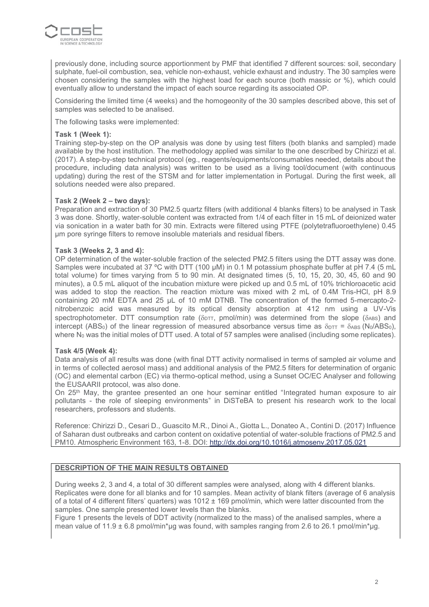

previously done, including source apportionment by PMF that identified 7 different sources: soil, secondary sulphate, fuel-oil combustion, sea, vehicle non-exhaust, vehicle exhaust and industry. The 30 samples were chosen considering the samples with the highest load for each source (both massic or %), which could eventually allow to understand the impact of each source regarding its associated OP.

Considering the limited time (4 weeks) and the homogeonity of the 30 samples described above, this set of samples was selected to be analised.

The following tasks were implemented:

#### **Task 1 (Week 1):**

Training step-by-step on the OP analysis was done by using test filters (both blanks and sampled) made available by the host institution. The methodology applied was similar to the one described by Chirizzi et al. (2017). A step-by-step technical protocol (eg., reagents/equipments/consumables needed, details about the procedure, including data analysis) was written to be used as a living tool/document (with continuous updating) during the rest of the STSM and for latter implementation in Portugal. During the first week, all solutions needed were also prepared.

#### **Task 2 (Week 2 – two days):**

Preparation and extraction of 30 PM2.5 quartz filters (with additional 4 blanks filters) to be analysed in Task 3 was done. Shortly, water-soluble content was extracted from 1/4 of each filter in 15 mL of deionized water via sonication in a water bath for 30 min. Extracts were filtered using PTFE (polytetrafluoroethylene) 0.45 µm pore syringe filters to remove insoluble materials and residual fibers.

#### **Task 3 (Weeks 2, 3 and 4):**

OP determination of the water-soluble fraction of the selected PM2.5 filters using the DTT assay was done. Samples were incubated at 37 °C with DTT (100 µM) in 0.1 M potassium phosphate buffer at pH 7.4 (5 mL total volume) for times varying from 5 to 90 min. At designated times (5, 10, 15, 20, 30, 45, 60 and 90 minutes), a 0.5 mL aliquot of the incubation mixture were picked up and 0.5 mL of 10% trichloroacetic acid was added to stop the reaction. The reaction mixture was mixed with 2 mL of 0.4M Tris-HCl, pH 8.9 containing 20 mM EDTA and 25 µL of 10 mM DTNB. The concentration of the formed 5-mercapto-2 nitrobenzoic acid was measured by its optical density absorption at 412 nm using a UV-Vis spectrophotometer. DTT consumption rate ( $\delta_{\text{DTT}}$ , pmol/min) was determined from the slope ( $\delta_{\text{ABS}}$ ) and intercept (ABS<sub>0</sub>) of the linear regression of measured absorbance versus time as  $\delta_{\text{DT}} = \delta_{\text{ABS}}$  (N<sub>0</sub>/ABS<sub>0</sub>), where N<sub>0</sub> was the initial moles of DTT used. A total of 57 samples were analised (including some replicates).

#### **Task 4/5 (Week 4):**

Data analysis of all results was done (with final DTT activity normalised in terms of sampled air volume and in terms of collected aerosol mass) and additional analysis of the PM2.5 filters for determination of organic (OC) and elemental carbon (EC) via thermo-optical method, using a Sunset OC/EC Analyser and following the EUSAARII protocol, was also done.

On 25th May, the grantee presented an one hour seminar entitled "Integrated human exposure to air pollutants - the role of sleeping environments" in DiSTeBA to present his research work to the local researchers, professors and students.

Reference: Chirizzi D., Cesari D., Guascito M.R., Dinoi A., Giotta L., Donateo A., Contini D. (2017) Influence of Saharan dust outbreaks and carbon content on oxidative potential of water-soluble fractions of PM2.5 and PM10. Atmospheric Environment 163, 1-8. DOI:<http://dx.doi.org/10.1016/j.atmosenv.2017.05.021>

#### **DESCRIPTION OF THE MAIN RESULTS OBTAINED**

During weeks 2, 3 and 4, a total of 30 different samples were analysed, along with 4 different blanks. Replicates were done for all blanks and for 10 samples. Mean activity of blank filters (average of 6 analysis of a total of 4 different filters' quarters) was 1012 ± 169 pmol/min, which were latter discounted from the samples. One sample presented lower levels than the blanks.

Figure 1 presents the levels of DDT activity (normalized to the mass) of the analised samples, where a mean value of 11.9 ± 6.8 pmol/min\*µg was found, with samples ranging from 2.6 to 26.1 pmol/min\*µg.